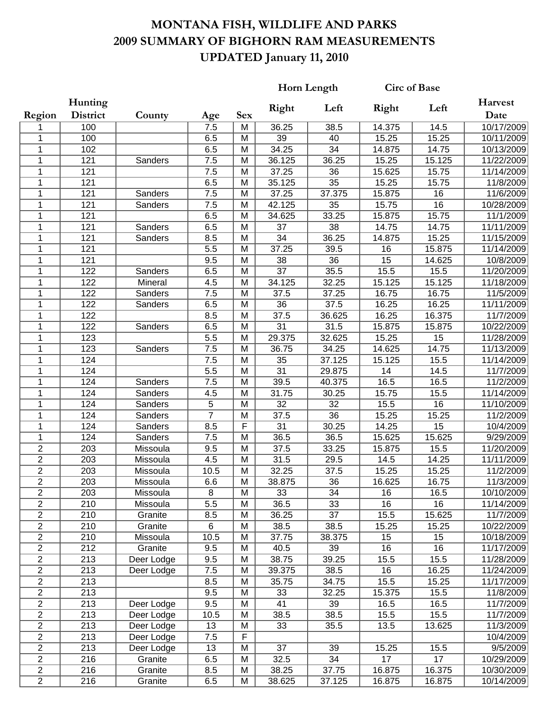## **MONTANA FISH, WILDLIFE AND PARKS 2009 SUMMARY OF BIGHORN RAM MEASUREMENTS UPDATED January 11, 2010**

|                |                            |            |                  |                |                 | Horn Length     | <b>Circ of Base</b> |                 |                 |
|----------------|----------------------------|------------|------------------|----------------|-----------------|-----------------|---------------------|-----------------|-----------------|
| Region         | Hunting<br><b>District</b> | County     | Age              | <b>Sex</b>     | Right           | Left            | Right               | Left            | Harvest<br>Date |
| 1              | 100                        |            | 7.5              | M              | 36.25           | 38.5            | 14.375              | 14.5            | 10/17/2009      |
| 1              | 100                        |            | 6.5              | M              | 39              | 40              | 15.25               | 15.25           | 10/11/2009      |
| 1              | 102                        |            | 6.5              | M              | 34.25           | 34              | 14.875              | 14.75           | 10/13/2009      |
| 1              | 121                        | Sanders    | 7.5              | M              | 36.125          | 36.25           | 15.25               | 15.125          | 11/22/2009      |
| 1              | 121                        |            | 7.5              | M              | 37.25           | 36              | 15.625              | 15.75           | 11/14/2009      |
| 1              | 121                        |            | 6.5              | M              | 35.125          | 35              | 15.25               | 15.75           | 11/8/2009       |
| 1              | 121                        | Sanders    | 7.5              | M              | 37.25           | 37.375          | 15.875              | 16              | 11/6/2009       |
| 1              | 121                        | Sanders    | 7.5              | M              | 42.125          | 35              | 15.75               | 16              | 10/28/2009      |
| 1              | 121                        |            | 6.5              | M              | 34.625          | 33.25           | 15.875              | 15.75           | 11/1/2009       |
| 1              | 121                        | Sanders    | 6.5              | M              | 37              | 38              | 14.75               | 14.75           | 11/11/2009      |
| 1              | 121                        | Sanders    | 8.5              | M              | 34              | 36.25           | 14.875              | 15.25           | 11/15/2009      |
| 1              | 121                        |            | 5.5              | M              | 37.25           | 39.5            | 16                  | 15.875          | 11/14/2009      |
| 1              | 121                        |            | 9.5              | M              | 38              | 36              | 15                  | 14.625          | 10/8/2009       |
| 1              | 122                        | Sanders    | 6.5              | M              | $\overline{37}$ | 35.5            | 15.5                | 15.5            | 11/20/2009      |
| 1              | 122                        | Mineral    | 4.5              | M              | 34.125          | 32.25           | 15.125              | 15.125          | 11/18/2009      |
| 1              | 122                        | Sanders    | 7.5              | M              | 37.5            | 37.25           | 16.75               | 16.75           | 11/5/2009       |
| 1              | 122                        | Sanders    | 6.5              | M              | 36              | 37.5            | 16.25               | 16.25           | 11/11/2009      |
| 1              | 122                        |            | 8.5              | M              | 37.5            | 36.625          | 16.25               | 16.375          | 11/7/2009       |
| 1              | 122                        | Sanders    | 6.5              | M              | 31              | 31.5            | 15.875              | 15.875          | 10/22/2009      |
| 1              | 123                        |            | 5.5              | M              | 29.375          | 32.625          | 15.25               | 15              | 11/28/2009      |
| 1              | 123                        | Sanders    | 7.5              | M              | 36.75           | 34.25           | 14.625              | 14.75           | 11/13/2009      |
| 1              | 124                        |            | 7.5              | M              | $\overline{35}$ | 37.125          | 15.125              | 15.5            | 11/14/2009      |
| 1              | 124                        |            | 5.5              | M              | $\overline{31}$ | 29.875          | 14                  | 14.5            | 11/7/2009       |
| 1              | 124                        | Sanders    | $\overline{7.5}$ | M              | 39.5            | 40.375          | 16.5                | 16.5            | 11/2/2009       |
| 1              | 124                        | Sanders    | 4.5              | M              | 31.75           | 30.25           | 15.75               | 15.5            | 11/14/2009      |
| 1              | 124                        | Sanders    | 5                | M              | $\overline{32}$ | 32              | 15.5                | $\overline{16}$ | 11/10/2009      |
| 1              | 124                        | Sanders    | $\overline{7}$   | M              | 37.5            | 36              | 15.25               | 15.25           | 11/2/2009       |
| 1              | 124                        | Sanders    | 8.5              | F              | $\overline{31}$ | 30.25           | 14.25               | $\overline{15}$ | 10/4/2009       |
| 1              | 124                        | Sanders    | 7.5              | M              | 36.5            | 36.5            | 15.625              | 15.625          | 9/29/2009       |
| 2              | 203                        | Missoula   | 9.5              | M              | 37.5            | 33.25           | 15.875              | 15.5            | 11/20/2009      |
| $\overline{2}$ | 203                        | Missoula   | 4.5              | M              | 31.5            | 29.5            | 14.5                | 14.25           | 11/11/2009      |
| $\overline{c}$ | 203                        | Missoula   | 10.5             | M              | 32.25           | 37.5            | 15.25               | 15.25           | 11/2/2009       |
| $\overline{2}$ | $\overline{203}$           | Missoula   | $6.\overline{6}$ | $\overline{M}$ | 38.875          | $\overline{36}$ | 16.625              | 16.75           | 11/3/2009       |
| $\overline{2}$ | 203                        | Missoula   | 8                | M              | 33              | 34              | 16                  | 16.5            | 10/10/2009      |
| $\overline{2}$ | 210                        | Missoula   | 5.5              | M              | 36.5            | 33              | 16                  | 16              | 11/14/2009      |
| $\overline{2}$ | 210                        | Granite    | 8.5              | M              | 36.25           | 37              | 15.5                | 15.625          | 11/7/2009       |
| $\overline{2}$ | 210                        | Granite    | 6                | M              | 38.5            | 38.5            | 15.25               | 15.25           | 10/22/2009      |
| $\overline{2}$ | 210                        | Missoula   | 10.5             | M              | 37.75           | 38.375          | 15                  | 15              | 10/18/2009      |
| $\overline{2}$ | 212                        | Granite    | 9.5              | M              | 40.5            | 39              | 16                  | 16              | 11/17/2009      |
| $\overline{2}$ | 213                        | Deer Lodge | 9.5              | M              | 38.75           | 39.25           | 15.5                | 15.5            | 11/28/2009      |
| $\overline{2}$ | 213                        | Deer Lodge | 7.5              | M              | 39.375          | 38.5            | 16                  | 16.25           | 11/24/2009      |
| $\overline{2}$ | 213                        |            | 8.5              | M              | 35.75           | 34.75           | 15.5                | 15.25           | 11/17/2009      |
| $\overline{2}$ | 213                        |            | 9.5              | M              | 33              | 32.25           | 15.375              | 15.5            | 11/8/2009       |
| $\overline{c}$ | 213                        | Deer Lodge | 9.5              | M              | 41              | 39              | 16.5                | 16.5            | 11/7/2009       |
| $\overline{2}$ | 213                        | Deer Lodge | 10.5             | M              | 38.5            | 38.5            | 15.5                | 15.5            | 11/7/2009       |
| $\overline{c}$ | 213                        | Deer Lodge | 13               | M              | 33              | 35.5            | 13.5                | 13.625          | 11/3/2009       |
| $\overline{2}$ | 213                        | Deer Lodge | 7.5              | $\overline{F}$ |                 |                 |                     |                 | 10/4/2009       |
| $\overline{2}$ | 213                        | Deer Lodge | 13               | M              | 37              | 39              | 15.25               | 15.5            | 9/5/2009        |
| $\overline{2}$ | 216                        | Granite    | 6.5              | M              | 32.5            | 34              | 17                  | 17              | 10/29/2009      |
| $\overline{2}$ | 216                        | Granite    | 8.5              | M              | 38.25           | 37.75           | 16.875              | 16.375          | 10/30/2009      |
| $\overline{2}$ | 216                        | Granite    | 6.5              | M              | 38.625          | 37.125          | 16.875              | 16.875          | 10/14/2009      |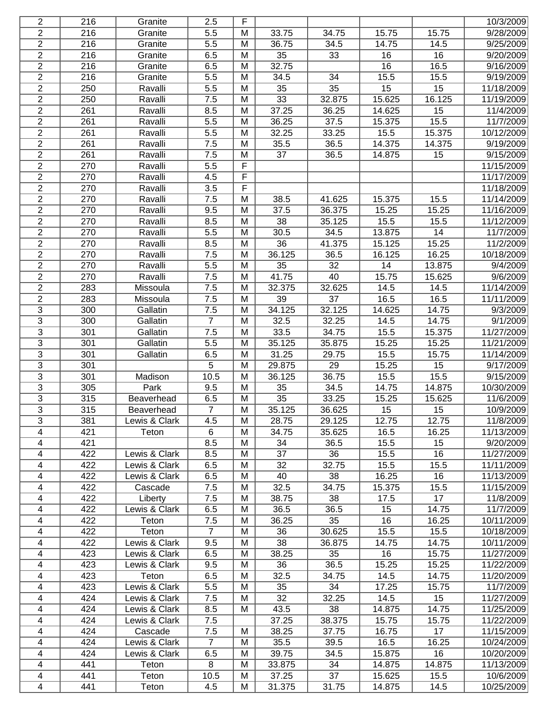| 2                       | 216              | Granite       | 2.5              | F |                 |                 |                 |                 | 10/3/2009  |
|-------------------------|------------------|---------------|------------------|---|-----------------|-----------------|-----------------|-----------------|------------|
| $\overline{2}$          | 216              | Granite       | 5.5              | M | 33.75           | 34.75           | 15.75           | 15.75           | 9/28/2009  |
| $\overline{c}$          | 216              | Granite       | 5.5              | M | 36.75           | 34.5            | 14.75           | 14.5            | 9/25/2009  |
| $\overline{2}$          | 216              | Granite       | 6.5              | M | 35              | 33              | 16              | $\overline{16}$ | 9/20/2009  |
| $\overline{2}$          | 216              | Granite       | 6.5              | M | 32.75           |                 | 16              | 16.5            | 9/16/2009  |
| $\overline{2}$          | 216              | Granite       | $\overline{5.5}$ | M | 34.5            | $\overline{34}$ | 15.5            | 15.5            | 9/19/2009  |
| $\overline{2}$          | 250              | Ravalli       | 5.5              | M | $\overline{35}$ | 35              | $\overline{15}$ | $\overline{15}$ | 11/18/2009 |
| $\overline{2}$          | 250              | Ravalli       | 7.5              | M | $\overline{33}$ | 32.875          | 15.625          | 16.125          | 11/19/2009 |
| $\overline{2}$          | 261              | Ravalli       | 8.5              | М | 37.25           | 36.25           | 14.625          | $\overline{15}$ | 11/4/2009  |
| $\overline{2}$          | 261              | Ravalli       | 5.5              | M | 36.25           | 37.5            | 15.375          | 15.5            | 11/7/2009  |
| $\overline{2}$          | 261              | Ravalli       | 5.5              | M | 32.25           | 33.25           | 15.5            | 15.375          | 10/12/2009 |
| $\overline{2}$          | 261              | Ravalli       | 7.5              | M | 35.5            | 36.5            | 14.375          | 14.375          | 9/19/2009  |
| $\overline{2}$          | 261              | Ravalli       | 7.5              | M | 37              | 36.5            | 14.875          | 15              | 9/15/2009  |
| $\overline{2}$          | 270              | Ravalli       | 5.5              | F |                 |                 |                 |                 | 11/15/2009 |
| $\overline{2}$          | 270              | Ravalli       | 4.5              | F |                 |                 |                 |                 | 11/17/2009 |
| $\overline{2}$          | 270              | Ravalli       | 3.5              | F |                 |                 |                 |                 | 11/18/2009 |
| $\overline{2}$          | 270              | Ravalli       | 7.5              | M | 38.5            | 41.625          | 15.375          | 15.5            | 11/14/2009 |
| $\overline{c}$          | 270              | Ravalli       | 9.5              | M | 37.5            | 36.375          | 15.25           | 15.25           | 11/16/2009 |
| $\overline{2}$          | 270              | Ravalli       | 8.5              | M | 38              | 35.125          | 15.5            | 15.5            | 11/12/2009 |
| $\overline{2}$          | 270              | Ravalli       | 5.5              | M | 30.5            | 34.5            | 13.875          | 14              | 11/7/2009  |
| $\overline{c}$          | 270              | Ravalli       | 8.5              | M | 36              | 41.375          | 15.125          | 15.25           | 11/2/2009  |
| $\overline{c}$          | 270              | Ravalli       | 7.5              | M | 36.125          | 36.5            | 16.125          | 16.25           | 10/18/2009 |
| $\overline{2}$          | 270              | Ravalli       | 5.5              | M | $\overline{35}$ | 32              | 14              | 13.875          | 9/4/2009   |
| $\overline{2}$          | 270              | Ravalli       | 7.5              | M | 41.75           | 40              | 15.75           | 15.625          | 9/6/2009   |
| $\overline{2}$          | 283              | Missoula      | 7.5              | M | 32.375          | 32.625          | 14.5            | 14.5            | 11/14/2009 |
| $\overline{2}$          | 283              | Missoula      | 7.5              | M | $\overline{39}$ | 37              | 16.5            | 16.5            | 11/11/2009 |
| $\overline{3}$          | 300              | Gallatin      | 7.5              | M | 34.125          | 32.125          | 14.625          | 14.75           | 9/3/2009   |
| $\overline{3}$          | 300              | Gallatin      | $\overline{7}$   | M | 32.5            | 32.25           | 14.5            | 14.75           | 9/1/2009   |
| $\overline{3}$          | 301              | Gallatin      | 7.5              | M | 33.5            | 34.75           | 15.5            | 15.375          | 11/27/2009 |
| $\overline{3}$          | 301              | Gallatin      | 5.5              | M | 35.125          | 35.875          | 15.25           | 15.25           | 11/21/2009 |
| $\overline{3}$          | 301              | Gallatin      | 6.5              | M | 31.25           | 29.75           | 15.5            | 15.75           | 11/14/2009 |
| $\overline{3}$          | 301              |               | 5                | M | 29.875          | 29              | 15.25           | 15              | 9/17/2009  |
| $\overline{3}$          | 301              | Madison       | 10.5             | M | 36.125          | 36.75           | 15.5            | 15.5            | 9/15/2009  |
| 3                       | 305              | Park          | 9.5              | M | 35              | 34.5            | 14.75           | 14.875          | 10/30/2009 |
| 3                       | 315              | Beaverhead    | 6.5              | M | 35              | 33.25           | 15.25           | 15.625          | 11/6/2009  |
| 3                       | 315              | Beaverhead    | $\overline{7}$   | M | 35.125          | 36.625          | 15              | 15              | 10/9/2009  |
| 3                       | 381              | Lewis & Clark | 4.5              | M | 28.75           | 29.125          | 12.75           | 12.75           | 11/8/2009  |
| 4                       | 421              | Teton         | 6                | M | 34.75           | 35.625          | 16.5            | 16.25           | 11/13/2009 |
| 4                       | 421              |               | 8.5              | M | 34              | 36.5            | 15.5            | 15              | 9/20/2009  |
| 4                       | 422              | Lewis & Clark | 8.5              | M | 37              | 36              | 15.5            | 16              | 11/27/2009 |
| 4                       | 422              | Lewis & Clark | 6.5              | M | 32              | 32.75           | 15.5            | 15.5            | 11/11/2009 |
| 4                       | 422              | Lewis & Clark | 6.5              | M | 40              | 38              | 16.25           | 16              | 11/13/2009 |
| $\overline{4}$          | 422              | Cascade       | 7.5              | M | 32.5            | 34.75           | 15.375          | 15.5            | 11/15/2009 |
| $\overline{4}$          | 422              | Liberty       | 7.5              | M | 38.75           | 38              | 17.5            | 17              | 11/8/2009  |
| $\overline{4}$          | 422              | Lewis & Clark | 6.5              | M | 36.5            | 36.5            | 15              | 14.75           | 11/7/2009  |
| $\overline{\mathbf{4}}$ | 422              | Teton         | 7.5              | M | 36.25           | 35              | 16              | 16.25           | 10/11/2009 |
| $\overline{4}$          | 422              | Teton         | $\overline{7}$   | M | 36              | 30.625          | 15.5            | 15.5            | 10/18/2009 |
| 4                       | 422              | Lewis & Clark | 9.5              | M | 38              | 36.875          | 14.75           | 14.75           | 10/11/2009 |
| 4                       | 423              | Lewis & Clark | 6.5              | м | 38.25           | 35              | 16              | 15.75           | 11/27/2009 |
| 4                       | 423              | Lewis & Clark | 9.5              | M | 36              | 36.5            | 15.25           | 15.25           | 11/22/2009 |
| 4                       | $\overline{423}$ | Teton         | 6.5              | M | 32.5            | 34.75           | 14.5            | 14.75           | 11/20/2009 |
| 4                       | 423              | Lewis & Clark | 5.5              | M | 35              | 34              | 17.25           | 15.75           | 11/7/2009  |
| $\overline{4}$          | 424              | Lewis & Clark | 7.5              | M | 32              | 32.25           | 14.5            | 15              | 11/27/2009 |
| 4                       | 424              | Lewis & Clark | 8.5              | M | 43.5            | 38              | 14.875          | 14.75           | 11/25/2009 |
| 4                       | 424              | Lewis & Clark | 7.5              |   | 37.25           | 38.375          | 15.75           | 15.75           | 11/22/2009 |
| 4                       | 424              | Cascade       | 7.5              | M | 38.25           | 37.75           | 16.75           | 17              | 11/15/2009 |
| 4                       | 424              | Lewis & Clark | $\overline{7}$   | M | 35.5            | 39.5            | 16.5            | 16.25           | 10/24/2009 |
| 4                       | 424              | Lewis & Clark | 6.5              | м | 39.75           | 34.5            | 15.875          | 16              | 10/20/2009 |
| 4                       | 441              | Teton         | 8                | м | 33.875          | 34              | 14.875          | 14.875          | 11/13/2009 |
| $\overline{\mathbf{4}}$ | 441              | Teton         | 10.5             | M | 37.25           | 37              | 15.625          | 15.5            | 10/6/2009  |
| $\overline{4}$          | 441              | Teton         | 4.5              | M | 31.375          | 31.75           | 14.875          | 14.5            | 10/25/2009 |
|                         |                  |               |                  |   |                 |                 |                 |                 |            |